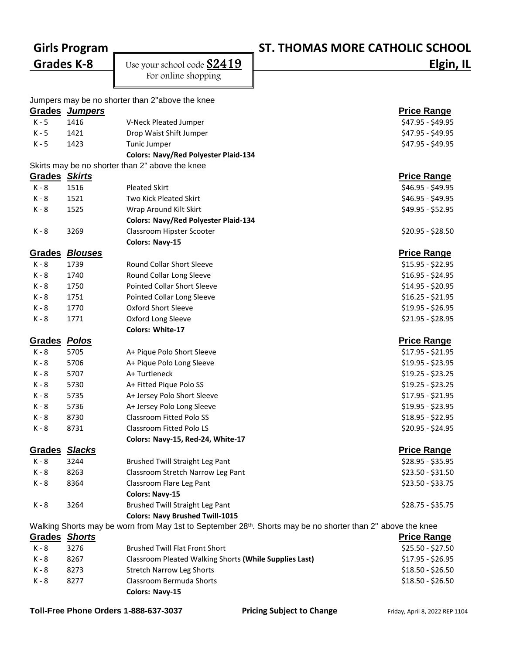## **Girls Program ST. THOMAS MORE CATHOLIC SCHOOL**

**Grades K-8** Use your school code  $\underline{\text{S2419}}$  **Elgin, IL** 

For online shopping

|                                                                                                                         |                | Jumpers may be no shorter than 2"above the knee        |                    |  |  |  |  |
|-------------------------------------------------------------------------------------------------------------------------|----------------|--------------------------------------------------------|--------------------|--|--|--|--|
|                                                                                                                         | Grades Jumpers |                                                        | <b>Price Range</b> |  |  |  |  |
| $K - 5$                                                                                                                 | 1416           | V-Neck Pleated Jumper                                  | \$47.95 - \$49.95  |  |  |  |  |
| $K - 5$                                                                                                                 | 1421           | Drop Waist Shift Jumper                                | \$47.95 - \$49.95  |  |  |  |  |
| $K - 5$                                                                                                                 | 1423           | Tunic Jumper                                           | \$47.95 - \$49.95  |  |  |  |  |
|                                                                                                                         |                | <b>Colors: Navy/Red Polyester Plaid-134</b>            |                    |  |  |  |  |
| Skirts may be no shorter than 2" above the knee                                                                         |                |                                                        |                    |  |  |  |  |
| <b>Grades Skirts</b>                                                                                                    |                |                                                        | <b>Price Range</b> |  |  |  |  |
| $K - 8$                                                                                                                 | 1516           | <b>Pleated Skirt</b>                                   | \$46.95 - \$49.95  |  |  |  |  |
| K - 8                                                                                                                   | 1521           | Two Kick Pleated Skirt                                 | \$46.95 - \$49.95  |  |  |  |  |
| K - 8                                                                                                                   | 1525           | Wrap Around Kilt Skirt                                 | \$49.95 - \$52.95  |  |  |  |  |
|                                                                                                                         |                | <b>Colors: Navy/Red Polyester Plaid-134</b>            |                    |  |  |  |  |
| K - 8                                                                                                                   | 3269           | Classroom Hipster Scooter                              | $$20.95 - $28.50$  |  |  |  |  |
|                                                                                                                         |                | Colors: Navy-15                                        |                    |  |  |  |  |
| <b>Grades</b>                                                                                                           | <b>Blouses</b> |                                                        | <b>Price Range</b> |  |  |  |  |
| K - 8                                                                                                                   | 1739           | Round Collar Short Sleeve                              | $$15.95 - $22.95$  |  |  |  |  |
| K - 8                                                                                                                   | 1740           | Round Collar Long Sleeve                               | $$16.95 - $24.95$  |  |  |  |  |
| $K - 8$                                                                                                                 | 1750           | <b>Pointed Collar Short Sleeve</b>                     | $$14.95 - $20.95$  |  |  |  |  |
| K - 8                                                                                                                   | 1751           | Pointed Collar Long Sleeve                             | $$16.25 - $21.95$  |  |  |  |  |
| K - 8                                                                                                                   | 1770           | <b>Oxford Short Sleeve</b>                             | \$19.95 - \$26.95  |  |  |  |  |
| K - 8                                                                                                                   | 1771           | Oxford Long Sleeve                                     | $$21.95 - $28.95$  |  |  |  |  |
|                                                                                                                         |                | Colors: White-17                                       |                    |  |  |  |  |
| Grades Polos                                                                                                            |                |                                                        | <b>Price Range</b> |  |  |  |  |
| K - 8                                                                                                                   | 5705           | A+ Pique Polo Short Sleeve                             | $$17.95 - $21.95$  |  |  |  |  |
| K - 8                                                                                                                   | 5706           | A+ Pique Polo Long Sleeve                              | \$19.95 - \$23.95  |  |  |  |  |
| K - 8                                                                                                                   | 5707           | A+Turtleneck                                           | $$19.25 - $23.25$  |  |  |  |  |
| K - 8                                                                                                                   | 5730           | A+ Fitted Pique Polo SS                                | $$19.25 - $23.25$  |  |  |  |  |
| K - 8                                                                                                                   | 5735           | A+ Jersey Polo Short Sleeve                            | $$17.95 - $21.95$  |  |  |  |  |
| K - 8                                                                                                                   | 5736           | A+ Jersey Polo Long Sleeve                             | $$19.95 - $23.95$  |  |  |  |  |
| K - 8                                                                                                                   | 8730           | <b>Classroom Fitted Polo SS</b>                        | $$18.95 - $22.95$  |  |  |  |  |
| K - 8                                                                                                                   | 8731           | Classroom Fitted Polo LS                               | $$20.95 - $24.95$  |  |  |  |  |
|                                                                                                                         |                | Colors: Navy-15, Red-24, White-17                      |                    |  |  |  |  |
| <b>Grades</b>                                                                                                           | <b>Slacks</b>  |                                                        | <b>Price Range</b> |  |  |  |  |
| $K - 8$                                                                                                                 | 3244           | <b>Brushed Twill Straight Leg Pant</b>                 | \$28.95 - \$35.95  |  |  |  |  |
| K - 8                                                                                                                   | 8263           | Classroom Stretch Narrow Leg Pant                      | $$23.50 - $31.50$  |  |  |  |  |
| K - 8                                                                                                                   | 8364           | Classroom Flare Leg Pant                               | $$23.50 - $33.75$  |  |  |  |  |
|                                                                                                                         |                | <b>Colors: Navy-15</b>                                 |                    |  |  |  |  |
| K - 8                                                                                                                   | 3264           | <b>Brushed Twill Straight Leg Pant</b>                 | $$28.75 - $35.75$  |  |  |  |  |
|                                                                                                                         |                | <b>Colors: Navy Brushed Twill-1015</b>                 |                    |  |  |  |  |
| Walking Shorts may be worn from May 1st to September 28 <sup>th</sup> . Shorts may be no shorter than 2" above the knee |                |                                                        |                    |  |  |  |  |
| Grades Shorts                                                                                                           |                |                                                        | <b>Price Range</b> |  |  |  |  |
| K - 8                                                                                                                   | 3276           | <b>Brushed Twill Flat Front Short</b>                  | \$25.50 - \$27.50  |  |  |  |  |
| K - 8                                                                                                                   | 8267           | Classroom Pleated Walking Shorts (While Supplies Last) | $$17.95 - $26.95$  |  |  |  |  |
| K - 8                                                                                                                   | 8273           | <b>Stretch Narrow Leg Shorts</b>                       | \$18.50 - \$26.50  |  |  |  |  |
| K - 8                                                                                                                   | 8277           | Classroom Bermuda Shorts                               | $$18.50 - $26.50$  |  |  |  |  |

**Colors: Navy-15**